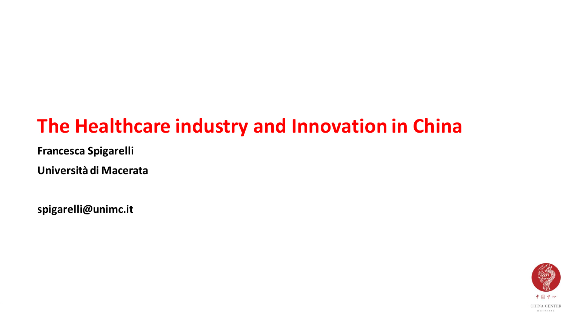# **The Healthcare industry and Innovation in China**

**Francesca Spigarelli**

**Università di Macerata**

**spigarelli@unimc.it**

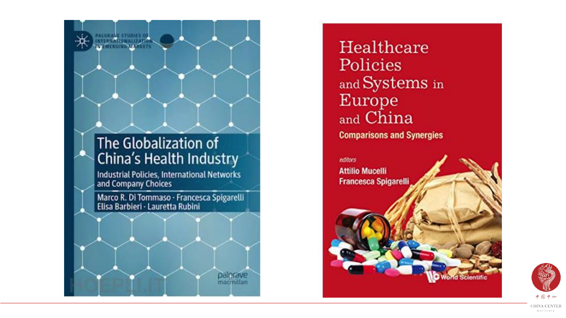#### The Globalization of China's Health Industry

**NT SIMBONAL SPO** 

Industrial Policies, International Networks and Company Choices

Marco R. Di Tommaso - Francesca Spigarelli<br>Elisa Barbieri - Lauretta Rubini

palorave

macmillan

Healthcare Policies and Systems in **Europe** and China **Comparisons and Synergies** 

editors **Attilio Mucelli Francesca Spigarelli** 



**Scientific** 

**CHINA CENTER** macerata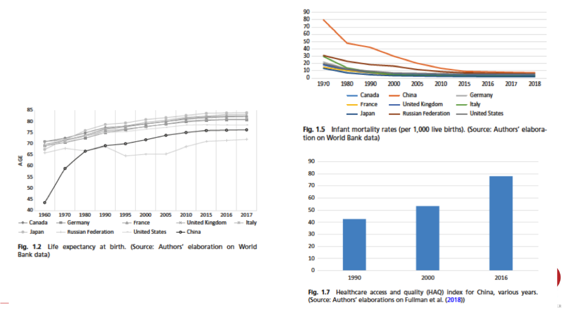



Fig. 1.2 Life expectancy at birth. (Source: Authors' elaboration on World Bank data)

Fig. 1.5 Infant mortality rates (per 1,000 live births). (Source: Authors' elaboration on World Bank data)



Fig. 1.7 Healthcare access and quality (HAQ) index for China, various years. (Source: Authors' elaborations on Fullman et al. (2018))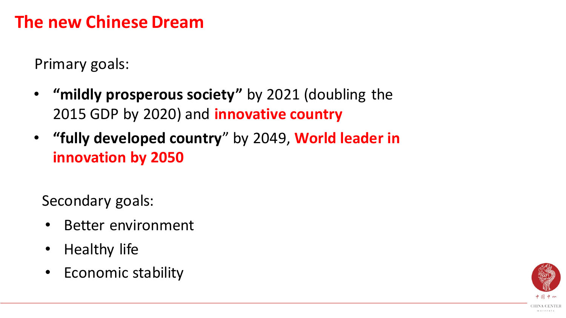## **The new Chinese Dream**

Primary goals:

- **"mildly prosperous society"** by 2021 (doubling the 2015 GDP by 2020) and **innovative country**
- **"fully developed country**" by 2049, **World leader in innovation by 2050**

Secondary goals:

- Better environment
- Healthy life
- Economic stability

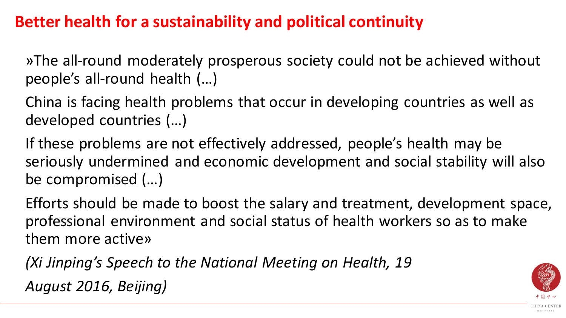### **Better health for a sustainability and political continuity**

»The all-round moderately prosperous society could not be achieved without people's all-round health (…)

China is facing health problems that occur in developing countries as well as developed countries (…)

If these problems are not effectively addressed, people's health may be seriously undermined and economic development and social stability will also be compromised (…)

Efforts should be made to boost the salary and treatment, development space, professional environment and social status of health workers so as to make them more active»

*(Xi Jinping's Speech to the National Meeting on Health, 19 August 2016, Beijing)*

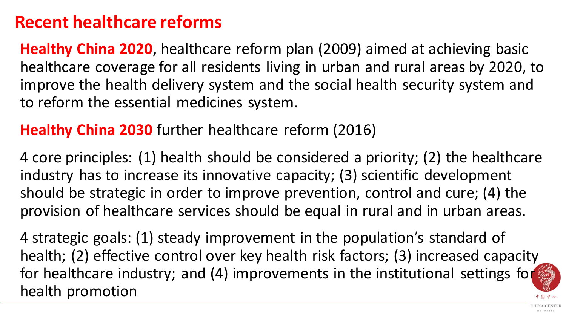## **Recent healthcare reforms**

**Healthy China 2020**, healthcare reform plan (2009) aimed at achieving basic healthcare coverage for all residents living in urban and rural areas by 2020, to improve the health delivery system and the social health security system and to reform the essential medicines system.

**Healthy China 2030** further healthcare reform (2016)

4 core principles: (1) health should be considered a priority; (2) the healthcare industry has to increase its innovative capacity; (3) scientific development should be strategic in order to improve prevention, control and cure; (4) the provision of healthcare services should be equal in rural and in urban areas.

4 strategic goals: (1) steady improvement in the population's standard of health; (2) effective control over key health risk factors; (3) increased capacity for healthcare industry; and (4) improvements in the institutional settings for health promotion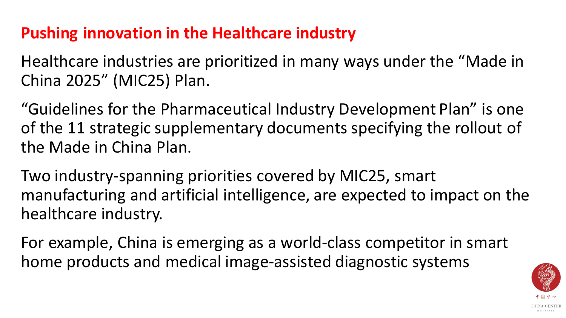## **Pushing innovation in the Healthcare industry**

Healthcare industries are prioritized in many ways under the "Made in China 2025" (MIC25) Plan.

"Guidelines for the Pharmaceutical Industry Development Plan" is one of the 11 strategic supplementary documents specifying the rollout of the Made in China Plan.

Two industry-spanning priorities covered by MIC25, smart manufacturing and artificial intelligence, are expected to impact on the healthcare industry.

For example, China is emerging as a world-class competitor in smart home products and medical image-assisted diagnostic systems

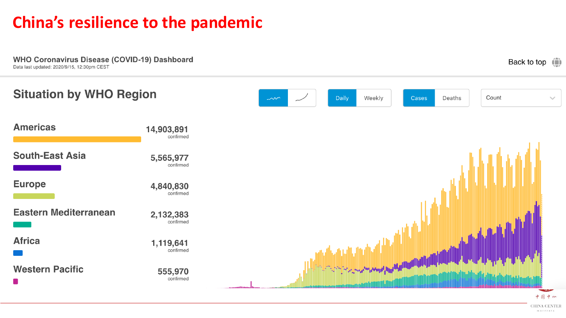## **China's resilience to the pandemic**

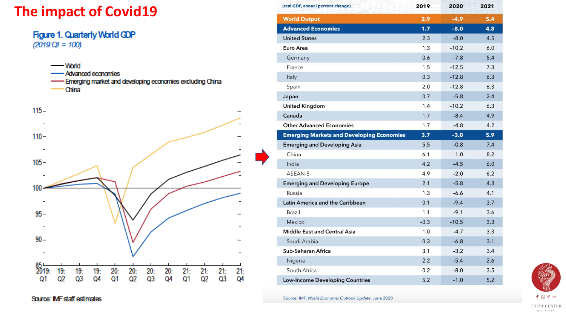#### **The impact of Covid19**

#### Figure 1. Quarterly World GDP  $(2019)$ : $Q_1 = 100$

- World -Advanced economies - Emerging market and developing economies excluding China **China** 



| (real GDP, annual percent change)                | 2019   | 2020    | 2021 |
|--------------------------------------------------|--------|---------|------|
| <b>World Output</b>                              | 2.9    | $-4.9$  | 5.4  |
| <b>Advanced Economies</b>                        | 1.7    | $-8.0$  | 4.8  |
| <b>United States</b>                             | 2.3    | $-8.0$  | 4.5  |
| Euro Area                                        | 1.3    | $-10.2$ | 6.0  |
| Germany                                          | 0.6    | $-7.8$  | 5.4  |
| France                                           | 1.5    | $-12.5$ | 7.3  |
| Italy                                            | 0.3    | $-12.8$ | 6.3  |
| Spain                                            | 2.0    | $-12.8$ | 6.3  |
| Japan                                            | 0.7    | $-5.8$  | 2.4  |
| <b>United Kingdom</b>                            | 1.4    | $-10.2$ | 6.3  |
| Canada                                           | 1.7    | $-8.4$  | 4.9  |
| <b>Other Advanced Economies</b>                  | 1.7    | $-4.8$  | 4.2  |
| <b>Emerging Markets and Developing Economies</b> | 3.7    | $-3.0$  | 5.9  |
| <b>Emerging and Developing Asia</b>              | 5.5    | $-0.8$  | 7.4  |
| China                                            | 6.1    | 1.0     | 8.2  |
| India                                            | 4.2    | $-4.5$  | 6.0  |
| ASEAN-5                                          | 4.9    | $-2.0$  | 6.2  |
| <b>Emerging and Developing Europe</b>            | 2.1    | $-5.8$  | 4.3  |
| Russia                                           | 1.3    | $-6.6$  | 4.1  |
| Latin America and the Caribbean                  | 0.1    | $-9.4$  | 3.7  |
| Brazil                                           | 1.1    | $-9.1$  | 3.6  |
| Mexico                                           | $-0.3$ | $-10.5$ | 3.3  |
| <b>Middle East and Central Asia</b>              | 1.0    | $-4.7$  | 3.3  |
| Saudi Arabia                                     | 0.3    | $-6.8$  | 3.1  |
| Sub-Saharan Africa                               | 3.1    | $-3.2$  | 3.4  |
| Nigeria                                          | 2.2    | $-5.4$  | 2.6  |
| South Africa                                     | 0.2    | $-8.0$  | 3.5  |
| <b>Low-Income Developing Countries</b>           | 5.2    | $-1.0$  | 5.2  |

Source: IMF, World Economic Outlook Update, June 2020



Source: IMF staff estimates.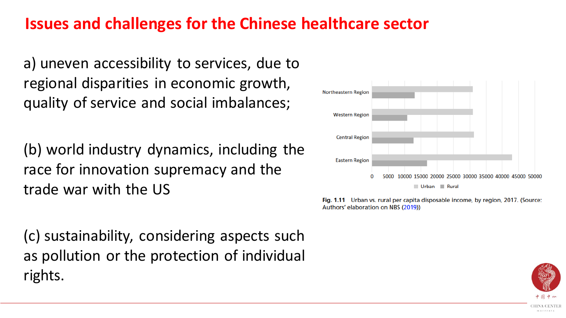#### **Issues and challenges for the Chinese healthcare sector**

a) uneven accessibility to services, due to regional disparities in economic growth, quality of service and social imbalances;

(b) world industry dynamics, including the race for innovation supremacy and the trade war with the US

(c) sustainability, considering aspects such as pollution or the protection of individual rights.



Fig. 1.11 Urban vs. rural per capita disposable income, by region, 2017. (Source: Authors' elaboration on NBS (2019))